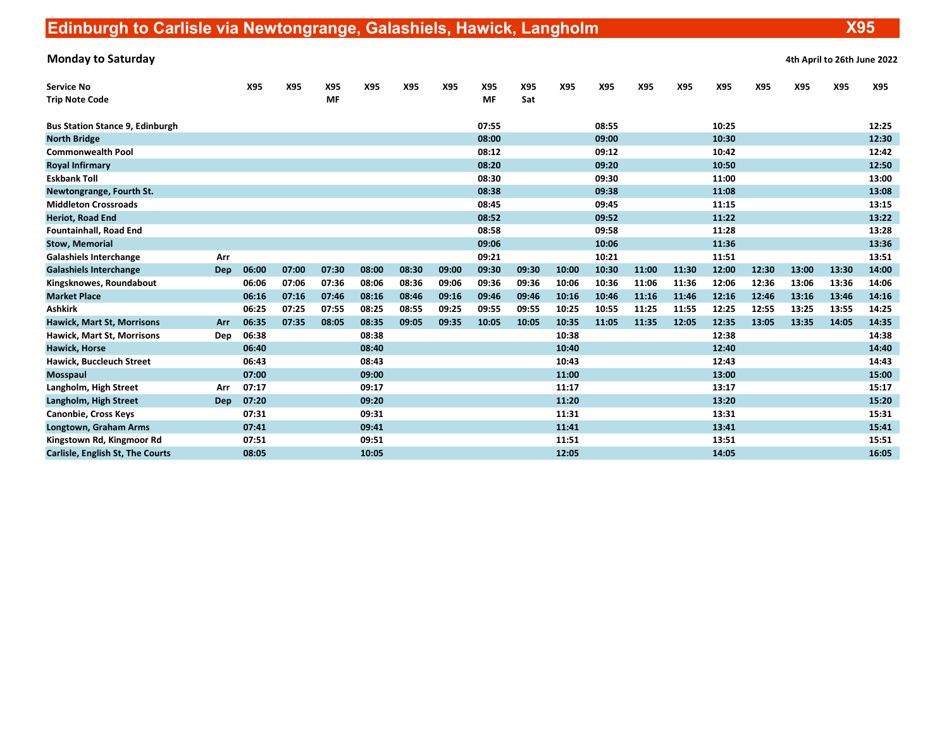Monday to Saturday **Accord 2022** 4th April to 26th June 2022

| <b>Service No</b>                      |            | X95   | X95   | X95       | X95   | X95   | X95   | X95       | X95   | X95   | X95   | X95   | X95   | X95   | X95   | X95   | X95   | X95   |
|----------------------------------------|------------|-------|-------|-----------|-------|-------|-------|-----------|-------|-------|-------|-------|-------|-------|-------|-------|-------|-------|
| <b>Trip Note Code</b>                  |            |       |       | <b>MF</b> |       |       |       | <b>MF</b> | Sat   |       |       |       |       |       |       |       |       |       |
| <b>Bus Station Stance 9, Edinburgh</b> |            |       |       |           |       |       |       | 07:55     |       |       | 08:55 |       |       | 10:25 |       |       |       | 12:25 |
| <b>North Bridge</b>                    |            |       |       |           |       |       |       | 08:00     |       |       | 09:00 |       |       | 10:30 |       |       |       | 12:30 |
| <b>Commonwealth Pool</b>               |            |       |       |           |       |       |       | 08:12     |       |       | 09:12 |       |       | 10:42 |       |       |       | 12:42 |
| <b>Royal Infirmary</b>                 |            |       |       |           |       |       |       | 08:20     |       |       | 09:20 |       |       | 10:50 |       |       |       | 12:50 |
| <b>Eskbank Toll</b>                    |            |       |       |           |       |       |       | 08:30     |       |       | 09:30 |       |       | 11:00 |       |       |       | 13:00 |
| Newtongrange, Fourth St.               |            |       |       |           |       |       |       | 08:38     |       |       | 09:38 |       |       | 11:08 |       |       |       | 13:08 |
| <b>Middleton Crossroads</b>            |            |       |       |           |       |       |       | 08:45     |       |       | 09:45 |       |       | 11:15 |       |       |       | 13:15 |
| <b>Heriot, Road End</b>                |            |       |       |           |       |       |       | 08:52     |       |       | 09:52 |       |       | 11:22 |       |       |       | 13:22 |
| <b>Fountainhall, Road End</b>          |            |       |       |           |       |       |       | 08:58     |       |       | 09:58 |       |       | 11:28 |       |       |       | 13:28 |
| <b>Stow, Memorial</b>                  |            |       |       |           |       |       |       | 09:06     |       |       | 10:06 |       |       | 11:36 |       |       |       | 13:36 |
| <b>Galashiels Interchange</b>          | Arr        |       |       |           |       |       |       | 09:21     |       |       | 10:21 |       |       | 11:51 |       |       |       | 13:51 |
| <b>Galashiels Interchange</b>          | <b>Dep</b> | 06:00 | 07:00 | 07:30     | 08:00 | 08:30 | 09:00 | 09:30     | 09:30 | 10:00 | 10:30 | 11:00 | 11:30 | 12:00 | 12:30 | 13:00 | 13:30 | 14:00 |
| Kingsknowes, Roundabout                |            | 06:06 | 07:06 | 07:36     | 08:06 | 08:36 | 09:06 | 09:36     | 09:36 | 10:06 | 10:36 | 11:06 | 11:36 | 12:06 | 12:36 | 13:06 | 13:36 | 14:06 |
| <b>Market Place</b>                    |            | 06:16 | 07:16 | 07:46     | 08:16 | 08:46 | 09:16 | 09:46     | 09:46 | 10:16 | 10:46 | 11:16 | 11:46 | 12:16 | 12:46 | 13:16 | 13:46 | 14:16 |
| <b>Ashkirk</b>                         |            | 06:25 | 07:25 | 07:55     | 08:25 | 08:55 | 09:25 | 09:55     | 09:55 | 10:25 | 10:55 | 11:25 | 11:55 | 12:25 | 12:55 | 13:25 | 13:55 | 14:25 |
| <b>Hawick, Mart St, Morrisons</b>      | Arr        | 06:35 | 07:35 | 08:05     | 08:35 | 09:05 | 09:35 | 10:05     | 10:05 | 10:35 | 11:05 | 11:35 | 12:05 | 12:35 | 13:05 | 13:35 | 14:05 | 14:35 |
| Hawick, Mart St, Morrisons             | Dep        | 06:38 |       |           | 08:38 |       |       |           |       | 10:38 |       |       |       | 12:38 |       |       |       | 14:38 |
| <b>Hawick, Horse</b>                   |            | 06:40 |       |           | 08:40 |       |       |           |       | 10:40 |       |       |       | 12:40 |       |       |       | 14:40 |
| Hawick, Buccleuch Street               |            | 06:43 |       |           | 08:43 |       |       |           |       | 10:43 |       |       |       | 12:43 |       |       |       | 14:43 |
| <b>Mosspaul</b>                        |            | 07:00 |       |           | 09:00 |       |       |           |       | 11:00 |       |       |       | 13:00 |       |       |       | 15:00 |
| Langholm, High Street                  | Arr        | 07:17 |       |           | 09:17 |       |       |           |       | 11:17 |       |       |       | 13:17 |       |       |       | 15:17 |
| Langholm, High Street                  | <b>Dep</b> | 07:20 |       |           | 09:20 |       |       |           |       | 11:20 |       |       |       | 13:20 |       |       |       | 15:20 |
| <b>Canonbie, Cross Keys</b>            |            | 07:31 |       |           | 09:31 |       |       |           |       | 11:31 |       |       |       | 13:31 |       |       |       | 15:31 |
| Longtown, Graham Arms                  |            | 07:41 |       |           | 09:41 |       |       |           |       | 11:41 |       |       |       | 13:41 |       |       |       | 15:41 |
| Kingstown Rd, Kingmoor Rd              |            | 07:51 |       |           | 09:51 |       |       |           |       | 11:51 |       |       |       | 13:51 |       |       |       | 15:51 |
| Carlisle, English St, The Courts       |            | 08:05 |       |           | 10:05 |       |       |           |       | 12:05 |       |       |       | 14:05 |       |       |       | 16:05 |

X95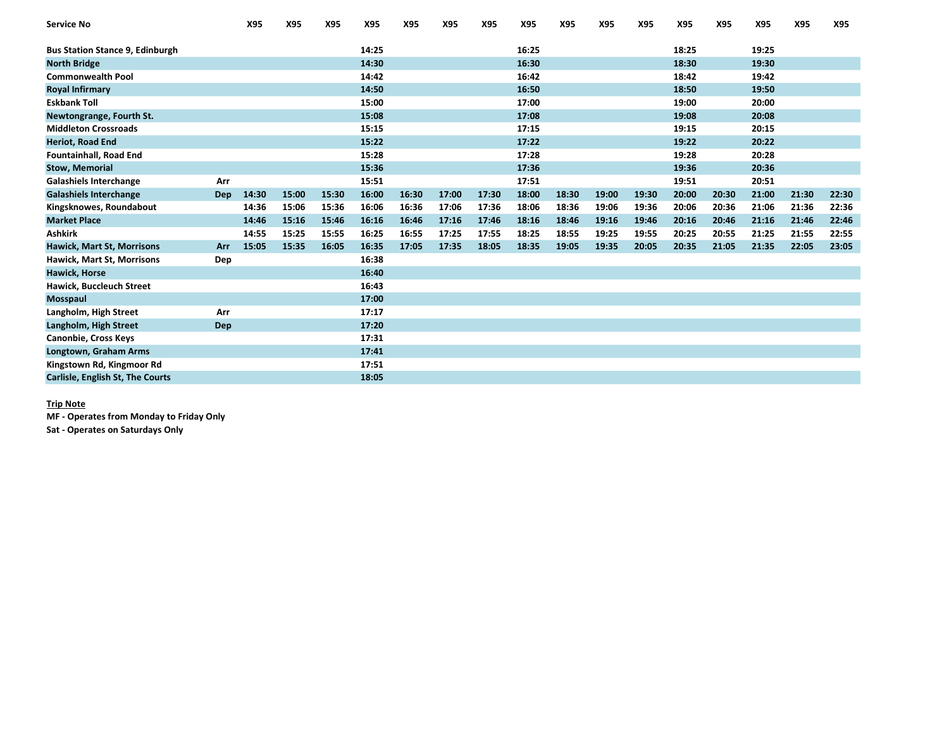| <b>Service No</b>                      |            | X95   | X95   | X95   | X95   | X95   | X95   | X95   | X95   | X95   | X95   | X95   | X95   | X95   | X95   | X95   | X95   |
|----------------------------------------|------------|-------|-------|-------|-------|-------|-------|-------|-------|-------|-------|-------|-------|-------|-------|-------|-------|
| <b>Bus Station Stance 9, Edinburgh</b> |            |       |       |       | 14:25 |       |       |       | 16:25 |       |       |       | 18:25 |       | 19:25 |       |       |
| <b>North Bridge</b>                    |            |       |       |       | 14:30 |       |       |       | 16:30 |       |       |       | 18:30 |       | 19:30 |       |       |
| <b>Commonwealth Pool</b>               |            |       |       |       | 14:42 |       |       |       | 16:42 |       |       |       | 18:42 |       | 19:42 |       |       |
| <b>Royal Infirmary</b>                 |            |       |       |       | 14:50 |       |       |       | 16:50 |       |       |       | 18:50 |       | 19:50 |       |       |
| <b>Eskbank Toll</b>                    |            |       |       |       | 15:00 |       |       |       | 17:00 |       |       |       | 19:00 |       | 20:00 |       |       |
| Newtongrange, Fourth St.               |            |       |       |       | 15:08 |       |       |       | 17:08 |       |       |       | 19:08 |       | 20:08 |       |       |
| <b>Middleton Crossroads</b>            |            |       |       |       | 15:15 |       |       |       | 17:15 |       |       |       | 19:15 |       | 20:15 |       |       |
| <b>Heriot, Road End</b>                |            |       |       |       | 15:22 |       |       |       | 17:22 |       |       |       | 19:22 |       | 20:22 |       |       |
| <b>Fountainhall, Road End</b>          |            |       |       |       | 15:28 |       |       |       | 17:28 |       |       |       | 19:28 |       | 20:28 |       |       |
| <b>Stow, Memorial</b>                  |            |       |       |       | 15:36 |       |       |       | 17:36 |       |       |       | 19:36 |       | 20:36 |       |       |
| <b>Galashiels Interchange</b>          | Arr        |       |       |       | 15:51 |       |       |       | 17:51 |       |       |       | 19:51 |       | 20:51 |       |       |
| <b>Galashiels Interchange</b>          | <b>Dep</b> | 14:30 | 15:00 | 15:30 | 16:00 | 16:30 | 17:00 | 17:30 | 18:00 | 18:30 | 19:00 | 19:30 | 20:00 | 20:30 | 21:00 | 21:30 | 22:30 |
| Kingsknowes, Roundabout                |            | 14:36 | 15:06 | 15:36 | 16:06 | 16:36 | 17:06 | 17:36 | 18:06 | 18:36 | 19:06 | 19:36 | 20:06 | 20:36 | 21:06 | 21:36 | 22:36 |
| <b>Market Place</b>                    |            | 14:46 | 15:16 | 15:46 | 16:16 | 16:46 | 17:16 | 17:46 | 18:16 | 18:46 | 19:16 | 19:46 | 20:16 | 20:46 | 21:16 | 21:46 | 22:46 |
| <b>Ashkirk</b>                         |            | 14:55 | 15:25 | 15:55 | 16:25 | 16:55 | 17:25 | 17:55 | 18:25 | 18:55 | 19:25 | 19:55 | 20:25 | 20:55 | 21:25 | 21:55 | 22:55 |
| Hawick, Mart St, Morrisons             | Arr        | 15:05 | 15:35 | 16:05 | 16:35 | 17:05 | 17:35 | 18:05 | 18:35 | 19:05 | 19:35 | 20:05 | 20:35 | 21:05 | 21:35 | 22:05 | 23:05 |
| Hawick, Mart St, Morrisons             | Dep        |       |       |       | 16:38 |       |       |       |       |       |       |       |       |       |       |       |       |
| <b>Hawick, Horse</b>                   |            |       |       |       | 16:40 |       |       |       |       |       |       |       |       |       |       |       |       |
| Hawick, Buccleuch Street               |            |       |       |       | 16:43 |       |       |       |       |       |       |       |       |       |       |       |       |
| Mosspaul                               |            |       |       |       | 17:00 |       |       |       |       |       |       |       |       |       |       |       |       |
| Langholm, High Street                  | Arr        |       |       |       | 17:17 |       |       |       |       |       |       |       |       |       |       |       |       |
| Langholm, High Street                  | Dep        |       |       |       | 17:20 |       |       |       |       |       |       |       |       |       |       |       |       |
| Canonbie, Cross Keys                   |            |       |       |       | 17:31 |       |       |       |       |       |       |       |       |       |       |       |       |
| Longtown, Graham Arms                  |            |       |       |       | 17:41 |       |       |       |       |       |       |       |       |       |       |       |       |
| Kingstown Rd, Kingmoor Rd              |            |       |       |       | 17:51 |       |       |       |       |       |       |       |       |       |       |       |       |
| Carlisle, English St, The Courts       |            |       |       |       | 18:05 |       |       |       |       |       |       |       |       |       |       |       |       |

### Trip Note

MF - Operates from Monday to Friday Only

Sat - Operates on Saturdays Only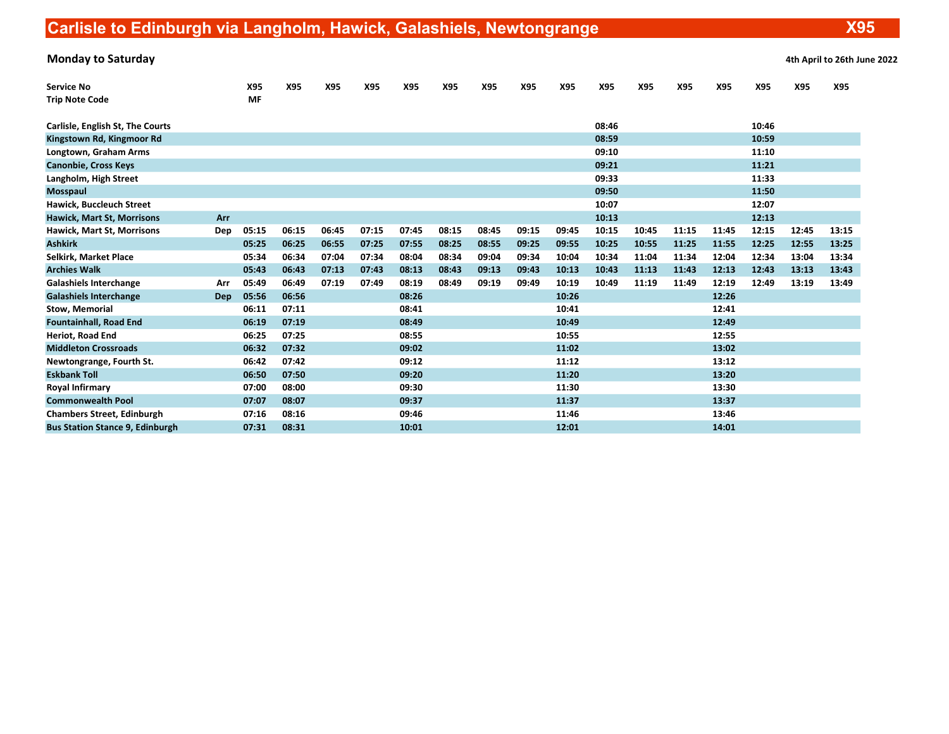# Carlisle to Edinburgh via Langholm, Hawick, Galashiels, Newtongrange

X95

| <b>Monday to Saturday</b>              |            |       |       |       |       |       |       |       |       |       |       |       |       |       |       |       | 4th April to 26th June 2022 |
|----------------------------------------|------------|-------|-------|-------|-------|-------|-------|-------|-------|-------|-------|-------|-------|-------|-------|-------|-----------------------------|
| <b>Service No</b>                      |            | X95   | X95   | X95   | X95   | X95   | X95   | X95   | X95   | X95   | X95   | X95   | X95   | X95   | X95   | X95   | X95                         |
| <b>Trip Note Code</b>                  |            | MF    |       |       |       |       |       |       |       |       |       |       |       |       |       |       |                             |
| Carlisle, English St, The Courts       |            |       |       |       |       |       |       |       |       |       | 08:46 |       |       |       | 10:46 |       |                             |
| Kingstown Rd, Kingmoor Rd              |            |       |       |       |       |       |       |       |       |       | 08:59 |       |       |       | 10:59 |       |                             |
| Longtown, Graham Arms                  |            |       |       |       |       |       |       |       |       |       | 09:10 |       |       |       | 11:10 |       |                             |
| <b>Canonbie, Cross Keys</b>            |            |       |       |       |       |       |       |       |       |       | 09:21 |       |       |       | 11:21 |       |                             |
| Langholm, High Street                  |            |       |       |       |       |       |       |       |       |       | 09:33 |       |       |       | 11:33 |       |                             |
| Mosspaul                               |            |       |       |       |       |       |       |       |       |       | 09:50 |       |       |       | 11:50 |       |                             |
| Hawick, Buccleuch Street               |            |       |       |       |       |       |       |       |       |       | 10:07 |       |       |       | 12:07 |       |                             |
| <b>Hawick, Mart St, Morrisons</b>      | Arr        |       |       |       |       |       |       |       |       |       | 10:13 |       |       |       | 12:13 |       |                             |
| <b>Hawick, Mart St, Morrisons</b>      | Dep        | 05:15 | 06:15 | 06:45 | 07:15 | 07:45 | 08:15 | 08:45 | 09:15 | 09:45 | 10:15 | 10:45 | 11:15 | 11:45 | 12:15 | 12:45 | 13:15                       |
| <b>Ashkirk</b>                         |            | 05:25 | 06:25 | 06:55 | 07:25 | 07:55 | 08:25 | 08:55 | 09:25 | 09:55 | 10:25 | 10:55 | 11:25 | 11:55 | 12:25 | 12:55 | 13:25                       |
| Selkirk, Market Place                  |            | 05:34 | 06:34 | 07:04 | 07:34 | 08:04 | 08:34 | 09:04 | 09:34 | 10:04 | 10:34 | 11:04 | 11:34 | 12:04 | 12:34 | 13:04 | 13:34                       |
| <b>Archies Walk</b>                    |            | 05:43 | 06:43 | 07:13 | 07:43 | 08:13 | 08:43 | 09:13 | 09:43 | 10:13 | 10:43 | 11:13 | 11:43 | 12:13 | 12:43 | 13:13 | 13:43                       |
| <b>Galashiels Interchange</b>          | Arr        | 05:49 | 06:49 | 07:19 | 07:49 | 08:19 | 08:49 | 09:19 | 09:49 | 10:19 | 10:49 | 11:19 | 11:49 | 12:19 | 12:49 | 13:19 | 13:49                       |
| <b>Galashiels Interchange</b>          | <b>Dep</b> | 05:56 | 06:56 |       |       | 08:26 |       |       |       | 10:26 |       |       |       | 12:26 |       |       |                             |
| <b>Stow, Memorial</b>                  |            | 06:11 | 07:11 |       |       | 08:41 |       |       |       | 10:41 |       |       |       | 12:41 |       |       |                             |
| <b>Fountainhall, Road End</b>          |            | 06:19 | 07:19 |       |       | 08:49 |       |       |       | 10:49 |       |       |       | 12:49 |       |       |                             |
| Heriot, Road End                       |            | 06:25 | 07:25 |       |       | 08:55 |       |       |       | 10:55 |       |       |       | 12:55 |       |       |                             |
| <b>Middleton Crossroads</b>            |            | 06:32 | 07:32 |       |       | 09:02 |       |       |       | 11:02 |       |       |       | 13:02 |       |       |                             |
| Newtongrange, Fourth St.               |            | 06:42 | 07:42 |       |       | 09:12 |       |       |       | 11:12 |       |       |       | 13:12 |       |       |                             |
| <b>Eskbank Toll</b>                    |            | 06:50 | 07:50 |       |       | 09:20 |       |       |       | 11:20 |       |       |       | 13:20 |       |       |                             |
| <b>Royal Infirmary</b>                 |            | 07:00 | 08:00 |       |       | 09:30 |       |       |       | 11:30 |       |       |       | 13:30 |       |       |                             |
| <b>Commonwealth Pool</b>               |            | 07:07 | 08:07 |       |       | 09:37 |       |       |       | 11:37 |       |       |       | 13:37 |       |       |                             |
| <b>Chambers Street, Edinburgh</b>      |            | 07:16 | 08:16 |       |       | 09:46 |       |       |       | 11:46 |       |       |       | 13:46 |       |       |                             |
| <b>Bus Station Stance 9, Edinburgh</b> |            | 07:31 | 08:31 |       |       | 10:01 |       |       |       | 12:01 |       |       |       | 14:01 |       |       |                             |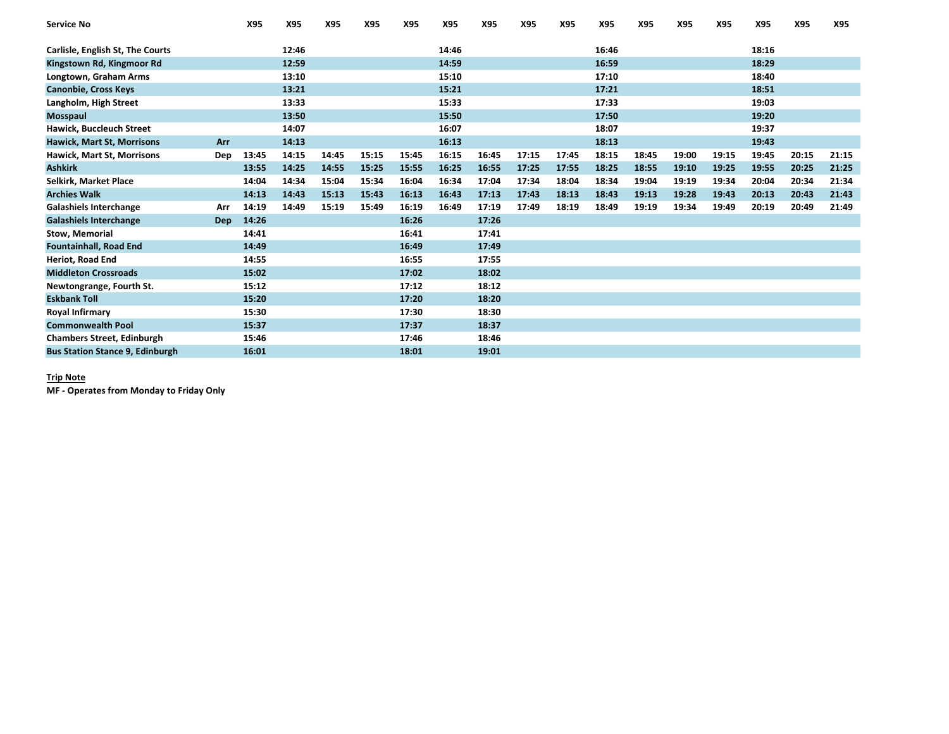| <b>Service No</b>                      |     | X95   | X95   | X95   | X95   | X95   | X95   | X95   | X95   | X95   | X95   | X95   | X95   | X95   | X95   | X95   | X95   |
|----------------------------------------|-----|-------|-------|-------|-------|-------|-------|-------|-------|-------|-------|-------|-------|-------|-------|-------|-------|
| Carlisle, English St, The Courts       |     |       | 12:46 |       |       |       | 14:46 |       |       |       | 16:46 |       |       |       | 18:16 |       |       |
|                                        |     |       | 12:59 |       |       |       | 14:59 |       |       |       | 16:59 |       |       |       | 18:29 |       |       |
| Kingstown Rd, Kingmoor Rd              |     |       |       |       |       |       |       |       |       |       |       |       |       |       |       |       |       |
| Longtown, Graham Arms                  |     |       | 13:10 |       |       |       | 15:10 |       |       |       | 17:10 |       |       |       | 18:40 |       |       |
| <b>Canonbie, Cross Keys</b>            |     |       | 13:21 |       |       |       | 15:21 |       |       |       | 17:21 |       |       |       | 18:51 |       |       |
| Langholm, High Street                  |     |       | 13:33 |       |       |       | 15:33 |       |       |       | 17:33 |       |       |       | 19:03 |       |       |
| <b>Mosspaul</b>                        |     |       | 13:50 |       |       |       | 15:50 |       |       |       | 17:50 |       |       |       | 19:20 |       |       |
| Hawick, Buccleuch Street               |     |       | 14:07 |       |       |       | 16:07 |       |       |       | 18:07 |       |       |       | 19:37 |       |       |
| Hawick, Mart St, Morrisons             | Arr |       | 14:13 |       |       |       | 16:13 |       |       |       | 18:13 |       |       |       | 19:43 |       |       |
| <b>Hawick, Mart St, Morrisons</b>      | Dep | 13:45 | 14:15 | 14:45 | 15:15 | 15:45 | 16:15 | 16:45 | 17:15 | 17:45 | 18:15 | 18:45 | 19:00 | 19:15 | 19:45 | 20:15 | 21:15 |
| <b>Ashkirk</b>                         |     | 13:55 | 14:25 | 14:55 | 15:25 | 15:55 | 16:25 | 16:55 | 17:25 | 17:55 | 18:25 | 18:55 | 19:10 | 19:25 | 19:55 | 20:25 | 21:25 |
| Selkirk, Market Place                  |     | 14:04 | 14:34 | 15:04 | 15:34 | 16:04 | 16:34 | 17:04 | 17:34 | 18:04 | 18:34 | 19:04 | 19:19 | 19:34 | 20:04 | 20:34 | 21:34 |
| <b>Archies Walk</b>                    |     | 14:13 | 14:43 | 15:13 | 15:43 | 16:13 | 16:43 | 17:13 | 17:43 | 18:13 | 18:43 | 19:13 | 19:28 | 19:43 | 20:13 | 20:43 | 21:43 |
| <b>Galashiels Interchange</b>          | Arr | 14:19 | 14:49 | 15:19 | 15:49 | 16:19 | 16:49 | 17:19 | 17:49 | 18:19 | 18:49 | 19:19 | 19:34 | 19:49 | 20:19 | 20:49 | 21:49 |
| <b>Galashiels Interchange</b>          | Dep | 14:26 |       |       |       | 16:26 |       | 17:26 |       |       |       |       |       |       |       |       |       |
| <b>Stow, Memorial</b>                  |     | 14:41 |       |       |       | 16:41 |       | 17:41 |       |       |       |       |       |       |       |       |       |
| <b>Fountainhall, Road End</b>          |     | 14:49 |       |       |       | 16:49 |       | 17:49 |       |       |       |       |       |       |       |       |       |
| <b>Heriot, Road End</b>                |     | 14:55 |       |       |       | 16:55 |       | 17:55 |       |       |       |       |       |       |       |       |       |
| <b>Middleton Crossroads</b>            |     | 15:02 |       |       |       | 17:02 |       | 18:02 |       |       |       |       |       |       |       |       |       |
| Newtongrange, Fourth St.               |     | 15:12 |       |       |       | 17:12 |       | 18:12 |       |       |       |       |       |       |       |       |       |
| <b>Eskbank Toll</b>                    |     | 15:20 |       |       |       | 17:20 |       | 18:20 |       |       |       |       |       |       |       |       |       |
| Royal Infirmary                        |     | 15:30 |       |       |       | 17:30 |       | 18:30 |       |       |       |       |       |       |       |       |       |
| <b>Commonwealth Pool</b>               |     | 15:37 |       |       |       | 17:37 |       | 18:37 |       |       |       |       |       |       |       |       |       |
| <b>Chambers Street, Edinburgh</b>      |     | 15:46 |       |       |       | 17:46 |       | 18:46 |       |       |       |       |       |       |       |       |       |
| <b>Bus Station Stance 9, Edinburgh</b> |     | 16:01 |       |       |       | 18:01 |       | 19:01 |       |       |       |       |       |       |       |       |       |

## Trip Note

MF - Operates from Monday to Friday Only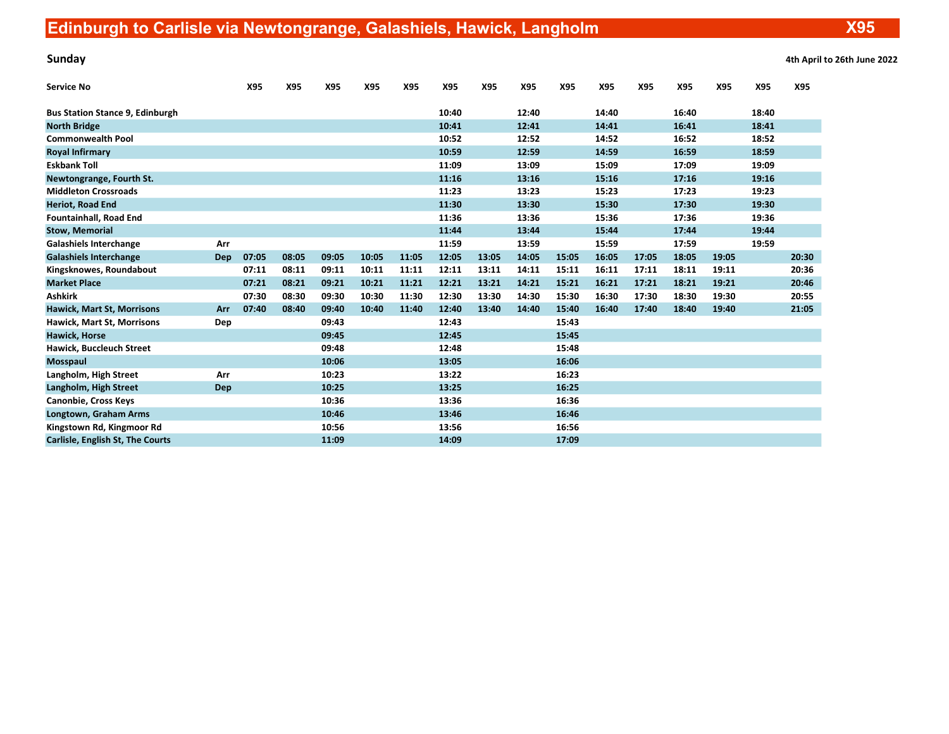Sunday 4th April to 26th June 2022

| <b>Service No</b>                       |     | X95   | X95   | X95   | X95   | X95   | X95   | X95   | X95   | X95   | X95   | X95   | X95   | X95   | X95   | X95   |
|-----------------------------------------|-----|-------|-------|-------|-------|-------|-------|-------|-------|-------|-------|-------|-------|-------|-------|-------|
| <b>Bus Station Stance 9, Edinburgh</b>  |     |       |       |       |       |       | 10:40 |       | 12:40 |       | 14:40 |       | 16:40 |       | 18:40 |       |
| <b>North Bridge</b>                     |     |       |       |       |       |       | 10:41 |       | 12:41 |       | 14:41 |       | 16:41 |       | 18:41 |       |
| <b>Commonwealth Pool</b>                |     |       |       |       |       |       | 10:52 |       | 12:52 |       | 14:52 |       | 16:52 |       | 18:52 |       |
| <b>Royal Infirmary</b>                  |     |       |       |       |       |       | 10:59 |       | 12:59 |       | 14:59 |       | 16:59 |       | 18:59 |       |
| <b>Eskbank Toll</b>                     |     |       |       |       |       |       | 11:09 |       | 13:09 |       | 15:09 |       | 17:09 |       | 19:09 |       |
| Newtongrange, Fourth St.                |     |       |       |       |       |       | 11:16 |       | 13:16 |       | 15:16 |       | 17:16 |       | 19:16 |       |
| <b>Middleton Crossroads</b>             |     |       |       |       |       |       | 11:23 |       | 13:23 |       | 15:23 |       | 17:23 |       | 19:23 |       |
| <b>Heriot, Road End</b>                 |     |       |       |       |       |       | 11:30 |       | 13:30 |       | 15:30 |       | 17:30 |       | 19:30 |       |
| <b>Fountainhall, Road End</b>           |     |       |       |       |       |       | 11:36 |       | 13:36 |       | 15:36 |       | 17:36 |       | 19:36 |       |
| <b>Stow, Memorial</b>                   |     |       |       |       |       |       | 11:44 |       | 13:44 |       | 15:44 |       | 17:44 |       | 19:44 |       |
| <b>Galashiels Interchange</b>           | Arr |       |       |       |       |       | 11:59 |       | 13:59 |       | 15:59 |       | 17:59 |       | 19:59 |       |
| <b>Galashiels Interchange</b>           | Dep | 07:05 | 08:05 | 09:05 | 10:05 | 11:05 | 12:05 | 13:05 | 14:05 | 15:05 | 16:05 | 17:05 | 18:05 | 19:05 |       | 20:30 |
| Kingsknowes, Roundabout                 |     | 07:11 | 08:11 | 09:11 | 10:11 | 11:11 | 12:11 | 13:11 | 14:11 | 15:11 | 16:11 | 17:11 | 18:11 | 19:11 |       | 20:36 |
| <b>Market Place</b>                     |     | 07:21 | 08:21 | 09:21 | 10:21 | 11:21 | 12:21 | 13:21 | 14:21 | 15:21 | 16:21 | 17:21 | 18:21 | 19:21 |       | 20:46 |
| <b>Ashkirk</b>                          |     | 07:30 | 08:30 | 09:30 | 10:30 | 11:30 | 12:30 | 13:30 | 14:30 | 15:30 | 16:30 | 17:30 | 18:30 | 19:30 |       | 20:55 |
| <b>Hawick, Mart St, Morrisons</b>       | Arr | 07:40 | 08:40 | 09:40 | 10:40 | 11:40 | 12:40 | 13:40 | 14:40 | 15:40 | 16:40 | 17:40 | 18:40 | 19:40 |       | 21:05 |
| Hawick, Mart St, Morrisons              | Dep |       |       | 09:43 |       |       | 12:43 |       |       | 15:43 |       |       |       |       |       |       |
| <b>Hawick, Horse</b>                    |     |       |       | 09:45 |       |       | 12:45 |       |       | 15:45 |       |       |       |       |       |       |
| Hawick, Buccleuch Street                |     |       |       | 09:48 |       |       | 12:48 |       |       | 15:48 |       |       |       |       |       |       |
| <b>Mosspaul</b>                         |     |       |       | 10:06 |       |       | 13:05 |       |       | 16:06 |       |       |       |       |       |       |
| Langholm, High Street                   | Arr |       |       | 10:23 |       |       | 13:22 |       |       | 16:23 |       |       |       |       |       |       |
| Langholm, High Street                   | Dep |       |       | 10:25 |       |       | 13:25 |       |       | 16:25 |       |       |       |       |       |       |
| <b>Canonbie, Cross Keys</b>             |     |       |       | 10:36 |       |       | 13:36 |       |       | 16:36 |       |       |       |       |       |       |
| Longtown, Graham Arms                   |     |       |       | 10:46 |       |       | 13:46 |       |       | 16:46 |       |       |       |       |       |       |
| Kingstown Rd, Kingmoor Rd               |     |       |       | 10:56 |       |       | 13:56 |       |       | 16:56 |       |       |       |       |       |       |
| <b>Carlisle, English St, The Courts</b> |     |       |       | 11:09 |       |       | 14:09 |       |       | 17:09 |       |       |       |       |       |       |